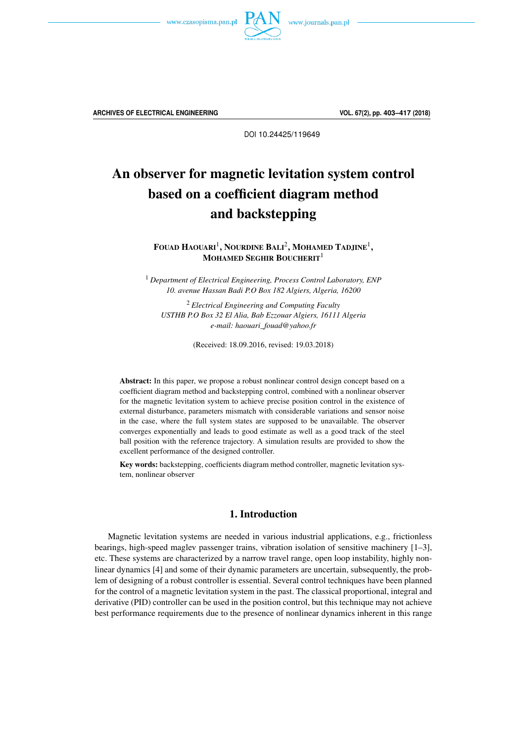

**ARCHIVES OF ELECTRICAL ENGINEERING VOL. 67(2), pp. 403–417 (2018)**

DOI 10.24425/119649

# An observer for magnetic levitation system control based on a coefficient diagram method and backstepping

FOUAD  $\text{H}$ aouari $^1,$  Nourdine Bali $^2,$  Mohamed Tadjine $^1,$ MOHAMED SEGHIR BOUCHERIT<sup>1</sup>

<sup>1</sup> *Department of Electrical Engineering, Process Control Laboratory, ENP 10. avenue Hassan Badi P.O Box 182 Algiers, Algeria, 16200*

<sup>2</sup> *Electrical Engineering and Computing Faculty USTHB P.O Box 32 El Alia, Bab Ezzouar Algiers, 16111 Algeria e-mail: haouari\_fouad@yahoo.fr*

(Received: 18.09.2016, revised: 19.03.2018)

Abstract: In this paper, we propose a robust nonlinear control design concept based on a coefficient diagram method and backstepping control, combined with a nonlinear observer for the magnetic levitation system to achieve precise position control in the existence of external disturbance, parameters mismatch with considerable variations and sensor noise in the case, where the full system states are supposed to be unavailable. The observer converges exponentially and leads to good estimate as well as a good track of the steel ball position with the reference trajectory. A simulation results are provided to show the excellent performance of the designed controller.

Key words: backstepping, coefficients diagram method controller, magnetic levitation system, nonlinear observer

# 1. Introduction

Magnetic levitation systems are needed in various industrial applications, e.g., frictionless bearings, high-speed maglev passenger trains, vibration isolation of sensitive machinery [1–3], etc. These systems are characterized by a narrow travel range, open loop instability, highly nonlinear dynamics [4] and some of their dynamic parameters are uncertain, subsequently, the problem of designing of a robust controller is essential. Several control techniques have been planned for the control of a magnetic levitation system in the past. The classical proportional, integral and derivative (PID) controller can be used in the position control, but this technique may not achieve best performance requirements due to the presence of nonlinear dynamics inherent in this range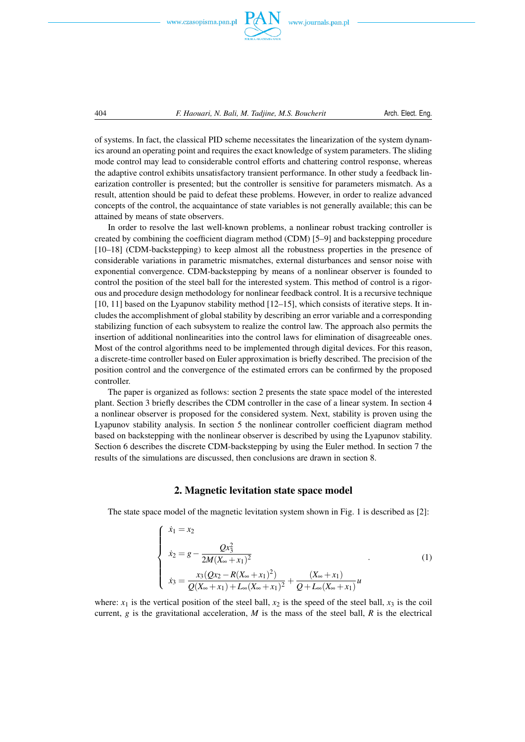

www.journals.pan.pl

404 *F. Haouari, N. Bali, M. Tadjine, M.S. Boucherit* Arch. Elect. Eng.

of systems. In fact, the classical PID scheme necessitates the linearization of the system dynamics around an operating point and requires the exact knowledge of system parameters. The sliding mode control may lead to considerable control efforts and chattering control response, whereas the adaptive control exhibits unsatisfactory transient performance. In other study a feedback linearization controller is presented; but the controller is sensitive for parameters mismatch. As a result, attention should be paid to defeat these problems. However, in order to realize advanced concepts of the control, the acquaintance of state variables is not generally available; this can be attained by means of state observers.

In order to resolve the last well-known problems, a nonlinear robust tracking controller is created by combining the coefficient diagram method (CDM) [5–9] and backstepping procedure [10–18] (CDM-backstepping) to keep almost all the robustness properties in the presence of considerable variations in parametric mismatches, external disturbances and sensor noise with exponential convergence. CDM-backstepping by means of a nonlinear observer is founded to control the position of the steel ball for the interested system. This method of control is a rigorous and procedure design methodology for nonlinear feedback control. It is a recursive technique  $[10, 11]$  based on the Lyapunov stability method  $[12–15]$ , which consists of iterative steps. It includes the accomplishment of global stability by describing an error variable and a corresponding stabilizing function of each subsystem to realize the control law. The approach also permits the insertion of additional nonlinearities into the control laws for elimination of disagreeable ones. Most of the control algorithms need to be implemented through digital devices. For this reason, a discrete-time controller based on Euler approximation is briefly described. The precision of the position control and the convergence of the estimated errors can be confirmed by the proposed controller.

The paper is organized as follows: section 2 presents the state space model of the interested plant. Section 3 briefly describes the CDM controller in the case of a linear system. In section 4 a nonlinear observer is proposed for the considered system. Next, stability is proven using the Lyapunov stability analysis. In section 5 the nonlinear controller coefficient diagram method based on backstepping with the nonlinear observer is described by using the Lyapunov stability. Section 6 describes the discrete CDM-backstepping by using the Euler method. In section 7 the results of the simulations are discussed, then conclusions are drawn in section 8.

#### 2. Magnetic levitation state space model

The state space model of the magnetic levitation system shown in Fig. 1 is described as [2]:

$$
\begin{cases}\n\dot{x}_1 = x_2 \\
\dot{x}_2 = g - \frac{Qx_3^2}{2M(X_{\infty} + x_1)^2} \\
\dot{x}_3 = \frac{x_3(Qx_2 - R(X_{\infty} + x_1)^2)}{Q(X_{\infty} + x_1) + L_{\infty}(X_{\infty} + x_1)^2} + \frac{(X_{\infty} + x_1)}{Q + L_{\infty}(X_{\infty} + x_1)}u\n\end{cases}
$$
\n(1)

where:  $x_1$  is the vertical position of the steel ball,  $x_2$  is the speed of the steel ball,  $x_3$  is the coil current,  $g$  is the gravitational acceleration,  $M$  is the mass of the steel ball,  $R$  is the electrical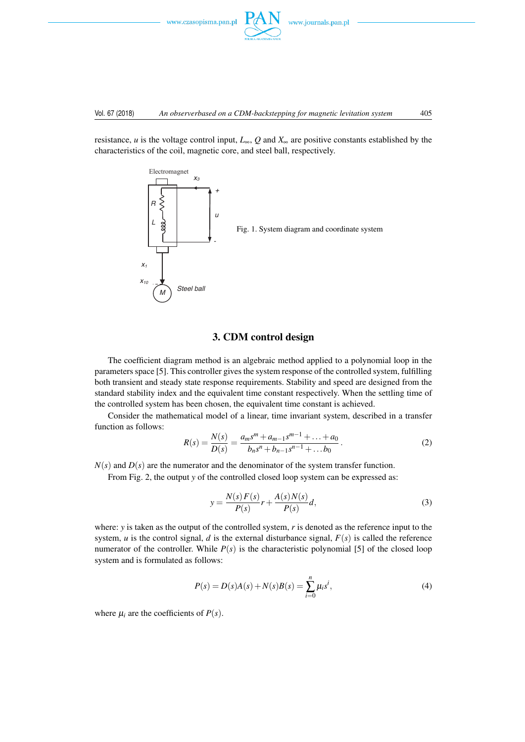

resistance, *u* is the voltage control input,  $L_{\infty}$ ,  $Q$  and  $X_{\infty}$  are positive constants established by the characteristics of the coil, magnetic core, and steel ball, respectively.



# 3. CDM control design

The coefficient diagram method is an algebraic method applied to a polynomial loop in the parameters space [5]. This controller gives the system response of the controlled system, fulfilling both transient and steady state response requirements. Stability and speed are designed from the standard stability index and the equivalent time constant respectively. When the settling time of the controlled system has been chosen, the equivalent time constant is achieved.

Consider the mathematical model of a linear, time invariant system, described in a transfer function as follows:

$$
R(s) = \frac{N(s)}{D(s)} = \frac{a_m s^m + a_{m-1} s^{m-1} + \dots + a_0}{b_n s^n + b_{n-1} s^{n-1} + \dots + b_0}.
$$
 (2)

 $N(s)$  and  $D(s)$  are the numerator and the denominator of the system transfer function.

From Fig. 2, the output *y* of the controlled closed loop system can be expressed as:

$$
y = \frac{N(s) F(s)}{P(s)} r + \frac{A(s) N(s)}{P(s)} d,
$$
\n(3)

where: *y* is taken as the output of the controlled system, *r* is denoted as the reference input to the system, *u* is the control signal, *d* is the external disturbance signal,  $F(s)$  is called the reference numerator of the controller. While  $P(s)$  is the characteristic polynomial [5] of the closed loop system and is formulated as follows:

$$
P(s) = D(s)A(s) + N(s)B(s) = \sum_{i=0}^{n} \mu_i s^i,
$$
\n(4)

where  $\mu_i$  are the coefficients of  $P(s)$ .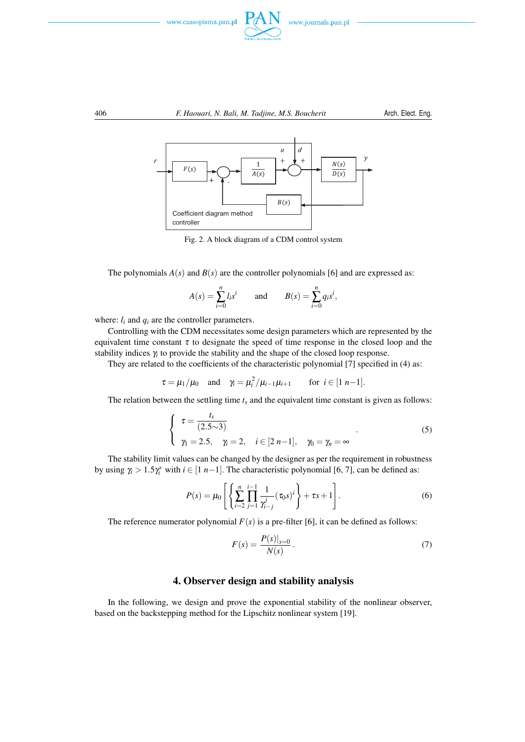



Fig. 2. A block diagram of a CDM control system

The polynomials  $A(s)$  and  $B(s)$  are the controller polynomials [6] and are expressed as:

$$
A(s) = \sum_{i=0}^{n} l_i s^i
$$
 and  $B(s) = \sum_{i=0}^{n} q_i s^i$ ,

where:  $l_i$  and  $q_i$  are the controller parameters.

Controlling with the CDM necessitates some design parameters which are represented by the equivalent time constant  $\tau$  to designate the speed of time response in the closed loop and the stability indices  $\gamma_i$  to provide the stability and the shape of the closed loop response.

They are related to the coefficients of the characteristic polynomial [7] specified in (4) as:

$$
\tau = \mu_1/\mu_0
$$
 and  $\gamma_i = \mu_i^2/\mu_{i-1}\mu_{i+1}$  for  $i \in [1 \ n-1]$ .

The relation between the settling time  $t_s$  and the equivalent time constant is given as follows:

$$
\begin{cases}\n\tau = \frac{t_s}{(2.5 \sim 3)} \\
\gamma_1 = 2.5, \quad \gamma_i = 2, \quad i \in [2 \ n-1], \quad \gamma_0 = \gamma_n = \infty\n\end{cases}
$$
\n(5)

The stability limit values can be changed by the designer as per the requirement in robustness by using  $\gamma_i > 1.5\gamma_i^*$  with  $i \in [1 \ n-1]$ . The characteristic polynomial [6, 7], can be defined as:

$$
P(s) = \mu_0 \left[ \left\{ \sum_{i=2}^n \prod_{j=1}^{i-1} \frac{1}{\gamma_{i-j}^j} (\tau_0 s)^i \right\} + \tau s + 1 \right].
$$
 (6)

The reference numerator polynomial  $F(s)$  is a pre-filter [6], it can be defined as follows:

$$
F(s) = \frac{P(s)|_{s=0}}{N(s)}.
$$
\n(7)

# 4. Observer design and stability analysis

In the following, we design and prove the exponential stability of the nonlinear observer, based on the backstepping method for the Lipschitz nonlinear system [19].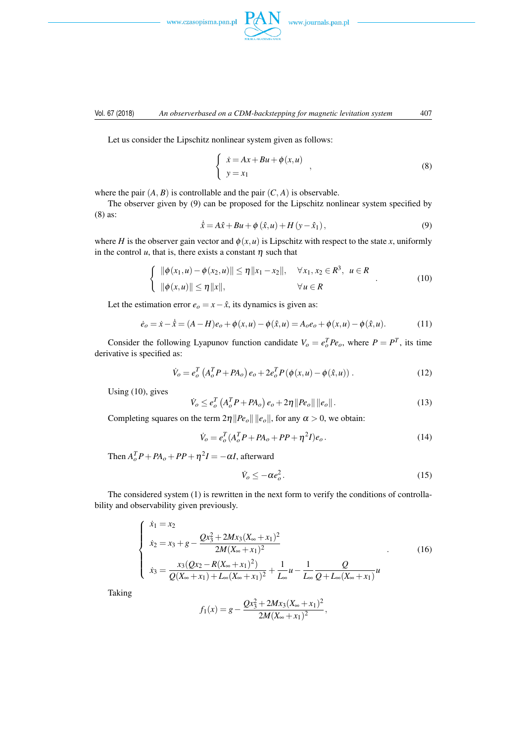www.czasopisma.pan.pl



#### Vol. 67 (2018) *An observerbased on a CDM-backstepping for magnetic levitation system* 407

Let us consider the Lipschitz nonlinear system given as follows:

$$
\begin{cases} \n\dot{x} = Ax + Bu + \phi(x, u) \\
y = x_1\n\end{cases}
$$
\n(8)

where the pair  $(A, B)$  is controllable and the pair  $(C, A)$  is observable.

The observer given by (9) can be proposed for the Lipschitz nonlinear system specified by (8) as:

$$
\dot{\hat{x}} = A\hat{x} + Bu + \phi\left(\hat{x}, u\right) + H\left(y - \hat{x}_1\right),\tag{9}
$$

where *H* is the observer gain vector and  $\phi(x, u)$  is Lipschitz with respect to the state *x*, uniformly in the control  $u$ , that is, there exists a constant  $\eta$  such that

$$
\begin{cases} \|\phi(x_1, u) - \phi(x_2, u)\| \le \eta \|x_1 - x_2\|, & \forall x_1, x_2 \in R^3, u \in R \\ \|\phi(x, u)\| \le \eta \|x\|, & \forall u \in R \end{cases}
$$
(10)

Let the estimation error  $e$ <sup> $o$ </sup> =  $x - \hat{x}$ , its dynamics is given as:

$$
\dot{e}_o = \dot{x} - \dot{\hat{x}} = (A - H)e_o + \phi(x, u) - \phi(\hat{x}, u) = A_o e_o + \phi(x, u) - \phi(\hat{x}, u). \tag{11}
$$

Consider the following Lyapunov function candidate  $V_o = e_o^T P e_o$ , where  $P = P^T$ , its time derivative is specified as:

$$
\dot{V}_o = e_o^T \left( A_o^T P + P A_o \right) e_o + 2e_o^T P \left( \phi(x, u) - \phi(\hat{x}, u) \right). \tag{12}
$$

Using (10), gives

$$
\dot{V}_o \leq e_o^T \left( A_o^T P + P A_o \right) e_o + 2\eta \| P e_o \| \| e_o \|.
$$
\n(13)

Completing squares on the term  $2\eta$  *||Pe*<sub>*o*</sub> || *||e*<sub>*o*</sub> ||, for any  $\alpha > 0$ , we obtain:

$$
\dot{V}_o = e_o^T (A_o^T P + P A_o + P P + \eta^2 I) e_o.
$$
\n(14)

Then  $A_o^T P + P A_o + P P + \eta^2 I = -\alpha I$ , afterward

$$
\dot{V}_o \le -\alpha e_o^2. \tag{15}
$$

The considered system (1) is rewritten in the next form to verify the conditions of controllability and observability given previously.

$$
\begin{cases}\n\dot{x}_1 = x_2 \\
\dot{x}_2 = x_3 + g - \frac{Qx_3^2 + 2Mx_3(X_\infty + x_1)^2}{2M(X_\infty + x_1)^2} \\
\dot{x}_3 = \frac{x_3(Qx_2 - R(X_\infty + x_1)^2)}{Q(X_\infty + x_1) + L_\infty(X_\infty + x_1)^2} + \frac{1}{L_\infty}u - \frac{1}{L_\infty}\frac{Q}{Q + L_\infty(X_\infty + x_1)}u\n\end{cases}
$$
\n(16)

Taking

$$
f_1(x) = g - \frac{Qx_3^2 + 2Mx_3(X_\infty + x_1)^2}{2M(X_\infty + x_1)^2},
$$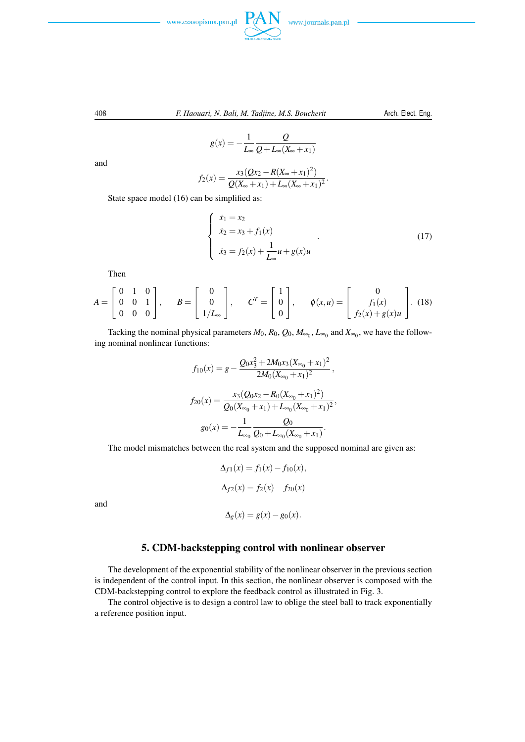



$$
g(x) = -\frac{1}{L_{\infty}} \frac{Q}{Q + L_{\infty}(X_{\infty} + x_1)}
$$

and

$$
f_2(x) = \frac{x_3(Qx_2 - R(X_{\infty} + x_1)^2)}{Q(X_{\infty} + x_1) + L_{\infty}(X_{\infty} + x_1)^2}.
$$

State space model (16) can be simplified as:

$$
\begin{cases}\n\dot{x}_1 = x_2 \\
\dot{x}_2 = x_3 + f_1(x) \\
\dot{x}_3 = f_2(x) + \frac{1}{L_{\infty}} u + g(x)u\n\end{cases}
$$
\n(17)

Then

$$
A = \begin{bmatrix} 0 & 1 & 0 \\ 0 & 0 & 1 \\ 0 & 0 & 0 \end{bmatrix}, \quad B = \begin{bmatrix} 0 \\ 0 \\ 1/L_{\infty} \end{bmatrix}, \quad C^{T} = \begin{bmatrix} 1 \\ 0 \\ 0 \end{bmatrix}, \quad \phi(x, u) = \begin{bmatrix} 0 \\ f_1(x) \\ f_2(x) + g(x)u \end{bmatrix}. \quad (18)
$$

Tacking the nominal physical parameters  $M_0$ ,  $R_0$ ,  $Q_0$ ,  $M_{\infty_0}$ ,  $L_{\infty_0}$  and  $X_{\infty_0}$ , we have the following nominal nonlinear functions:

$$
f_{10}(x) = g - \frac{Q_0 x_3^2 + 2M_0 x_3 (X_{\infty_0} + x_1)^2}{2M_0 (X_{\infty_0} + x_1)^2},
$$
  

$$
f_{20}(x) = \frac{x_3 (Q_0 x_2 - R_0 (X_{\infty_0} + x_1)^2)}{Q_0 (X_{\infty_0} + x_1) + L_{\infty_0} (X_{\infty_0} + x_1)^2},
$$
  

$$
g_0(x) = -\frac{1}{L_{\infty_0}} \frac{Q_0}{Q_0 + L_{\infty_0} (X_{\infty_0} + x_1)}.
$$

The model mismatches between the real system and the supposed nominal are given as:

$$
\Delta_{f1}(x) = f_1(x) - f_{10}(x),
$$
  
\n
$$
\Delta_{f2}(x) = f_2(x) - f_{20}(x)
$$
  
\n
$$
\Delta_g(x) = g(x) - g_0(x).
$$

and

# 5. CDM-backstepping control with nonlinear observer

The development of the exponential stability of the nonlinear observer in the previous section is independent of the control input. In this section, the nonlinear observer is composed with the CDM-backstepping control to explore the feedback control as illustrated in Fig. 3.

The control objective is to design a control law to oblige the steel ball to track exponentially a reference position input.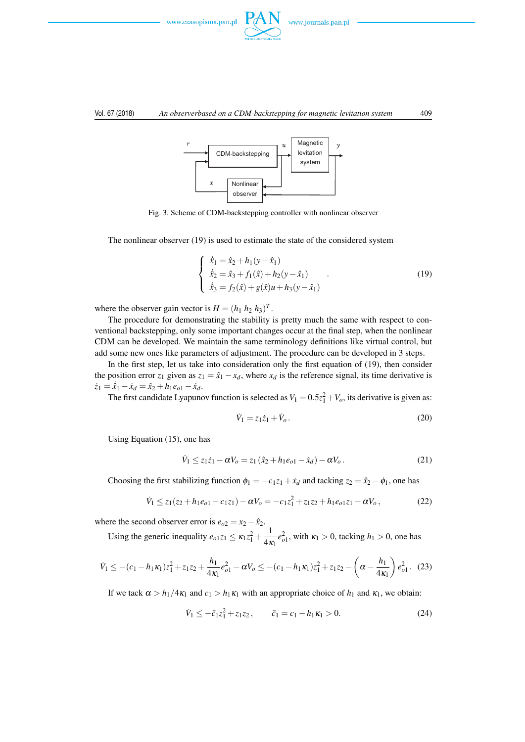

#### Vol. 67 (2018) *An observerbased on a CDM-backstepping for magnetic levitation system* 409



Fig. 3. Scheme of CDM-backstepping controller with nonlinear observer

The nonlinear observer (19) is used to estimate the state of the considered system

$$
\begin{cases}\n\dot{\hat{x}}_1 = \hat{x}_2 + h_1(y - \hat{x}_1) \\
\dot{\hat{x}}_2 = \hat{x}_3 + f_1(\hat{x}) + h_2(y - \hat{x}_1) \\
\dot{\hat{x}}_3 = f_2(\hat{x}) + g(\hat{x})u + h_3(y - \hat{x}_1)\n\end{cases} (19)
$$

where the observer gain vector is  $H = (h_1 \ h_2 \ h_3)^T$ .

The procedure for demonstrating the stability is pretty much the same with respect to conventional backstepping, only some important changes occur at the final step, when the nonlinear CDM can be developed. We maintain the same terminology definitions like virtual control, but add some new ones like parameters of adjustment. The procedure can be developed in 3 steps.

In the first step, let us take into consideration only the first equation of (19), then consider the position error  $z_1$  given as  $z_1 = \hat{x}_1 - x_d$ , where  $x_d$  is the reference signal, its time derivative is  $\dot{z}_1 = \dot{x}_1 - \dot{x}_d = \dot{x}_2 + h_1 e_{o1} - \dot{x}_d.$ 

The first candidate Lyapunov function is selected as  $V_1 = 0.5z_1^2 + V_o$ , its derivative is given as:

$$
\dot{V}_1 = z_1 \dot{z}_1 + \dot{V}_o. \tag{20}
$$

Using Equation (15), one has

$$
\dot{V}_1 \le z_1 \dot{z}_1 - \alpha V_o = z_1 (\hat{x}_2 + h_1 e_{o1} - \dot{x}_d) - \alpha V_o. \tag{21}
$$

Choosing the first stabilizing function  $\phi_1 = -c_1z_1 + \dot{x}_d$  and tacking  $z_2 = \hat{x}_2 - \phi_1$ , one has

$$
\dot{V}_1 \le z_1(z_2 + h_1 e_{o1} - c_1 z_1) - \alpha V_o = -c_1 z_1^2 + z_1 z_2 + h_1 e_{o1} z_1 - \alpha V_o, \qquad (22)
$$

where the second observer error is  $e_{o2} = x_2 - \hat{x}_2$ .

Using the generic inequality  $e_{01}z_1 \le \kappa_1 z_1^2 + \frac{1}{4\kappa_1}$  $\frac{1}{4\kappa_1}e_{o1}^2$ , with  $\kappa_1 > 0$ , tacking  $h_1 > 0$ , one has

$$
\dot{V}_1 \leq -(c_1 - h_1 \kappa_1) z_1^2 + z_1 z_2 + \frac{h_1}{4 \kappa_1} e_{o1}^2 - \alpha V_o \leq -(c_1 - h_1 \kappa_1) z_1^2 + z_1 z_2 - \left(\alpha - \frac{h_1}{4 \kappa_1}\right) e_{o1}^2. \tag{23}
$$

If we tack  $\alpha > h_1/4\kappa_1$  and  $c_1 > h_1\kappa_1$  with an appropriate choice of  $h_1$  and  $\kappa_1$ , we obtain:

$$
\dot{V}_1 \le -\bar{c}_1 z_1^2 + z_1 z_2, \qquad \bar{c}_1 = c_1 - h_1 \kappa_1 > 0. \tag{24}
$$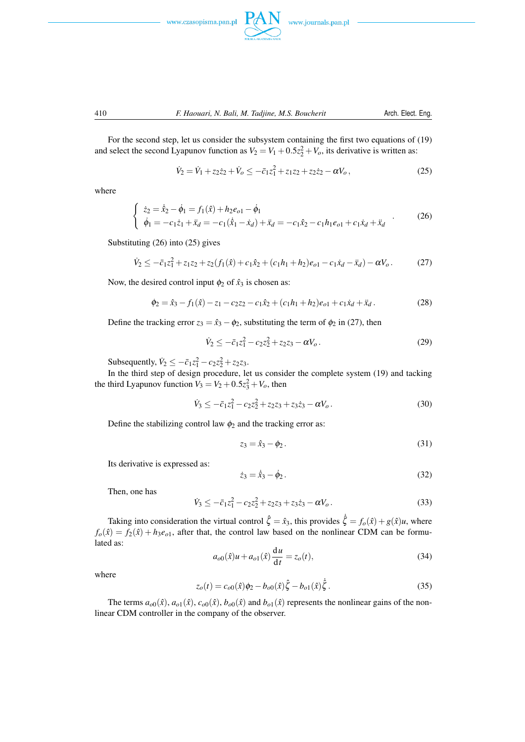

For the second step, let us consider the subsystem containing the first two equations of (19) and select the second Lyapunov function as  $V_2 = V_1 + 0.5z_2^2 + V_o$ , its derivative is written as:

$$
\dot{V}_2 = \dot{V}_1 + z_2 \dot{z}_2 + \dot{V}_o \le -\bar{c}_1 z_1^2 + z_1 z_2 + z_2 \dot{z}_2 - \alpha V_o, \qquad (25)
$$

where

$$
\begin{cases} \n\dot{z}_2 = \dot{\hat{x}}_2 - \dot{\phi}_1 = f_1(\hat{x}) + h_2 e_{o1} - \dot{\phi}_1 \\
\dot{\phi}_1 = -c_1 \dot{z}_1 + \ddot{x}_d = -c_1 (\dot{\hat{x}}_1 - \dot{x}_d) + \ddot{x}_d = -c_1 \hat{x}_2 - c_1 h_1 e_{o1} + c_1 \dot{x}_d + \ddot{x}_d\n\end{cases} (26)
$$

Substituting (26) into (25) gives

$$
\dot{V}_2 \le -\bar{c}_1 z_1^2 + z_1 z_2 + z_2 (f_1(\hat{x}) + c_1 \hat{x}_2 + (c_1 h_1 + h_2)e_{o1} - c_1 \hat{x}_d - \hat{x}_d) - \alpha V_o. \tag{27}
$$

Now, the desired control input  $\phi_2$  of  $\hat{x}_3$  is chosen as:

$$
\phi_2 = \hat{x}_3 - f_1(\hat{x}) - z_1 - c_2 z_2 - c_1 \hat{x}_2 + (c_1 h_1 + h_2)e_{o1} + c_1 \hat{x}_d + \hat{x}_d.
$$
\n(28)

Define the tracking error  $z_3 = \hat{x}_3 - \phi_2$ , substituting the term of  $\phi_2$  in (27), then

$$
\dot{V}_2 \le -\bar{c}_1 z_1^2 - c_2 z_2^2 + z_2 z_3 - \alpha V_o. \tag{29}
$$

Subsequently,  $\dot{V}_2 \le -\bar{c}_1 z_1^2 - c_2 z_2^2 + z_2 z_3$ .

In the third step of design procedure, let us consider the complete system (19) and tacking the third Lyapunov function  $V_3 = V_2 + 0.5z_3^2 + V_o$ , then

$$
\dot{V}_3 \le -\bar{c}_1 z_1^2 - c_2 z_2^2 + z_2 z_3 + z_3 \dot{z}_3 - \alpha V_o. \tag{30}
$$

Define the stabilizing control law  $\phi_2$  and the tracking error as:

$$
z_3 = \hat{x}_3 - \phi_2. \tag{31}
$$

Its derivative is expressed as:

$$
\dot{z}_3 = \dot{\hat{x}}_3 - \dot{\phi}_2. \tag{32}
$$

Then, one has

$$
\dot{V}_3 \le -\bar{c}_1 z_1^2 - c_2 z_2^2 + z_2 z_3 + z_3 \dot{z}_3 - \alpha V_o. \tag{33}
$$

Taking into consideration the virtual control  $\hat{\zeta} = \hat{x}_3$ , this provides  $\dot{\hat{\zeta}} = f_o(\hat{x}) + g(\hat{x})u$ , where  $f_o(\hat{x}) = f_2(\hat{x}) + h_3e_{o1}$ , after that, the control law based on the nonlinear CDM can be formulated as:

$$
a_{o0}(\hat{x})u + a_{o1}(\hat{x})\frac{\mathrm{d}u}{\mathrm{d}t} = z_o(t),\tag{34}
$$

where

$$
z_o(t) = c_{o0}(\hat{x})\phi_2 - b_{o0}(\hat{x})\hat{\zeta} - b_{o1}(\hat{x})\hat{\zeta}.
$$
 (35)

The terms  $a_{o0}(\hat{x})$ ,  $a_{o1}(\hat{x})$ ,  $c_{o0}(\hat{x})$ ,  $b_{o0}(\hat{x})$  and  $b_{o1}(\hat{x})$  represents the nonlinear gains of the nonlinear CDM controller in the company of the observer.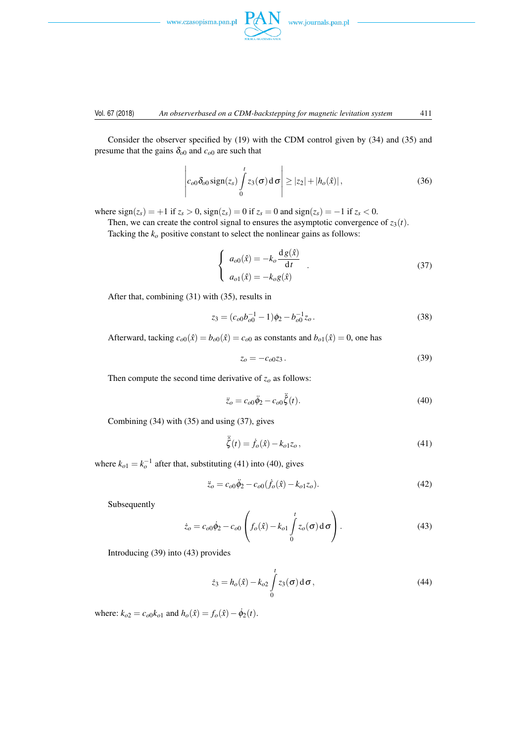



#### Vol. 67 (2018) *An observerbased on a CDM-backstepping for magnetic levitation system* 411

Consider the observer specified by (19) with the CDM control given by (34) and (35) and presume that the gains  $\delta_{00}$  and  $c_{00}$  are such that

$$
\left| c_{o0} \delta_{o0} \operatorname{sign}(z_s) \int\limits_0^t z_3(\sigma) d\sigma \right| \geq |z_2| + |h_o(\hat{x})|, \tag{36}
$$

where  $sign(z_s) = +1$  if  $z_s > 0$ ,  $sign(z_s) = 0$  if  $z_s = 0$  and  $sign(z_s) = -1$  if  $z_s < 0$ .

Then, we can create the control signal to ensures the asymptotic convergence of  $z_3(t)$ .

Tacking the  $k<sub>o</sub>$  positive constant to select the nonlinear gains as follows:

$$
\begin{cases}\n a_{o0}(\hat{x}) = -k_o \frac{d g(\hat{x})}{dt} \\
 a_{o1}(\hat{x}) = -k_o g(\hat{x})\n\end{cases} (37)
$$

After that, combining (31) with (35), results in

$$
z_3 = (c_{o0}b_{o0}^{-1} - 1)\phi_2 - b_{o0}^{-1}z_o.
$$
\n(38)

Afterward, tacking  $c_{00}(\hat{x}) = b_{00}(\hat{x}) = c_{00}$  as constants and  $b_{01}(\hat{x}) = 0$ , one has

$$
z_o = -c_{o0}z_3. \t\t(39)
$$

Then compute the second time derivative of  $z<sub>o</sub>$  as follows:

$$
\ddot{z}_o = c_{o0}\ddot{\phi}_2 - c_{o0}\ddot{\xi}(t). \tag{40}
$$

Combining (34) with (35) and using (37), gives

$$
\ddot{\xi}(t) = \dot{f}_o(\hat{x}) - k_{o1} z_o, \tag{41}
$$

where  $k_{o1} = k_o^{-1}$  after that, substituting (41) into (40), gives

$$
\ddot{z}_o = c_{o0}\ddot{\phi}_2 - c_{o0}(f_o(\hat{x}) - k_{o1}z_o). \tag{42}
$$

Subsequently

$$
\dot{z}_o = c_{o0}\dot{\phi}_2 - c_{o0}\left(f_o(\hat{x}) - k_{o1}\int_0^t z_o(\sigma) d\sigma\right).
$$
\n(43)

Introducing (39) into (43) provides

$$
\dot{z}_3 = h_o(\hat{x}) - k_{o2} \int_0^t z_3(\sigma) d\sigma,
$$
\n(44)

where:  $k_{o2} = c_{o0}k_{o1}$  and  $h_o(\hat{x}) = f_o(\hat{x}) - \dot{\phi}_2(t)$ .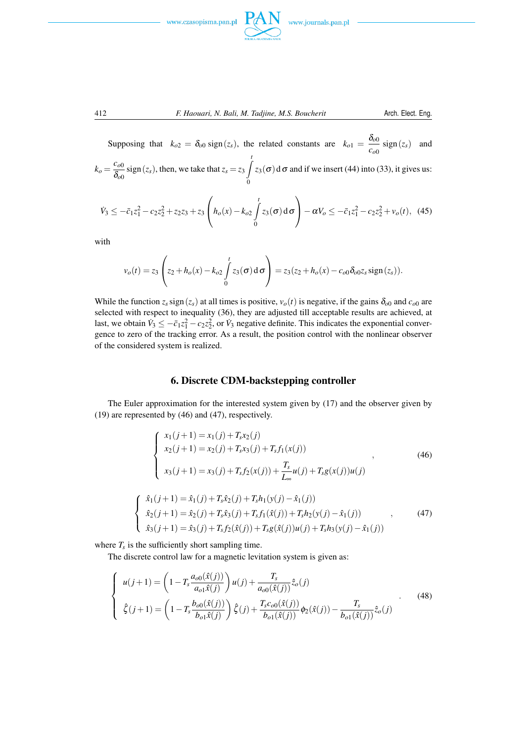





Supposing that  $k_{o2} = \delta_{o0} \text{sign}(z_s)$ , the related constants are  $k_{o1} = \frac{\delta_{o0}}{z_s}$  $\frac{\partial u}{\partial \phi}$  sign(*z*<sub>*s*</sub>) and  $k_o = \frac{c_{o0}}{s}$  $\frac{c_{o0}}{\delta_{o0}}$  sign(*z*<sub>*s*</sub>), then, we take that  $z_s = z_3 \int$  $\mathbf{0}$  $z_3(\sigma)$ d  $\sigma$  and if we insert (44) into (33), it gives us:

$$
\dot{V}_3 \leq -\bar{c}_1 z_1^2 - c_2 z_2^2 + z_2 z_3 + z_3 \left( h_o(x) - k_{o2} \int_0^t z_3(\sigma) d\sigma \right) - \alpha V_o \leq -\bar{c}_1 z_1^2 - c_2 z_2^2 + v_o(t), \tag{45}
$$

with

$$
v_o(t) = z_3 \left( z_2 + h_o(x) - k_{o2} \int_0^t z_3(\sigma) d\sigma \right) = z_3 (z_2 + h_o(x) - c_{o0} \delta_{o0} z_s \text{sign}(z_s)).
$$

While the function  $z_s$  sign( $z_s$ ) at all times is positive,  $v_o(t)$  is negative, if the gains  $\delta_{o0}$  and  $c_{o0}$  are selected with respect to inequality (36), they are adjusted till acceptable results are achieved, at last, we obtain  $\dot{V}_3 \le -\bar{c}_1 z_1^2 - c_2 z_2^2$ , or  $\dot{V}_3$  negative definite. This indicates the exponential convergence to zero of the tracking error. As a result, the position control with the nonlinear observer of the considered system is realized.

# 6. Discrete CDM-backstepping controller

The Euler approximation for the interested system given by (17) and the observer given by (19) are represented by (46) and (47), respectively.

$$
\begin{cases}\nx_1(j+1) = x_1(j) + T_s x_2(j) \\
x_2(j+1) = x_2(j) + T_s x_3(j) + T_s f_1(x(j)) \\
x_3(j+1) = x_3(j) + T_s f_2(x(j)) + \frac{T_s}{L_\infty} u(j) + T_s g(x(j))u(j)\n\end{cases}
$$
\n
$$
\hat{x}_1(j+1) = \hat{x}_1(j) + T_s \hat{x}_2(j) + T_s h_1(y(j) - \hat{x}_1(j))
$$
\n
$$
\hat{x}_2(j+1) = \hat{x}_2(j) + T_s \hat{x}_3(j) + T_s f_1(\hat{x}(j)) + T_s h_2(y(j) - \hat{x}_1(j))
$$
\n(47)

$$
\hat{x}_3(j+1) = \hat{x}_3(j) + T_s f_2(\hat{x}(j)) + T_s g(\hat{x}(j)) u(j) + T_s h_3(y(j) - \hat{x}_1(j))
$$

where  $T_s$  is the sufficiently short sampling time.

 $\sqrt{ }$  $\int$ 

The discrete control law for a magnetic levitation system is given as:

$$
\begin{cases}\n u(j+1) = \left(1 - T_s \frac{a_{00}(\hat{x}(j))}{a_{01}\hat{x}(j)}\right) u(j) + \frac{T_s}{a_{00}(\hat{x}(j))} \hat{z}_o(j) \\
 \hat{\zeta}(j+1) = \left(1 - T_s \frac{b_{00}(\hat{x}(j))}{b_{01}\hat{x}(j)}\right) \hat{\zeta}(j) + \frac{T_s c_{00}(\hat{x}(j))}{b_{01}(\hat{x}(j))} \phi_2(\hat{x}(j)) - \frac{T_s}{b_{01}(\hat{x}(j))} \hat{z}_o(j)\n\end{cases} (48)
$$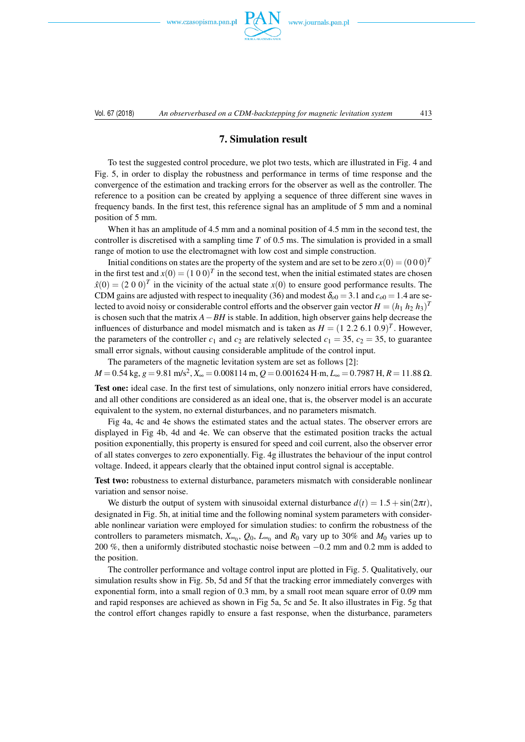www.czasopisma.pan.pl



# 7. Simulation result

To test the suggested control procedure, we plot two tests, which are illustrated in Fig. 4 and Fig. 5, in order to display the robustness and performance in terms of time response and the convergence of the estimation and tracking errors for the observer as well as the controller. The reference to a position can be created by applying a sequence of three different sine waves in frequency bands. In the first test, this reference signal has an amplitude of 5 mm and a nominal position of 5 mm.

When it has an amplitude of 4.5 mm and a nominal position of 4.5 mm in the second test, the controller is discretised with a sampling time *T* of 0.5 ms. The simulation is provided in a small range of motion to use the electromagnet with low cost and simple construction.

Initial conditions on states are the property of the system and are set to be zero  $x(0) = (0\ 0\ 0)^T$ in the first test and  $x(0) = (1\ 0\ 0)^T$  in the second test, when the initial estimated states are chosen  $\hat{x}(0) = (2\ 0\ 0)^T$  in the vicinity of the actual state  $x(0)$  to ensure good performance results. The CDM gains are adjusted with respect to inequality (36) and modest  $\delta_{00} = 3.1$  and  $c_{00} = 1.4$  are selected to avoid noisy or considerable control efforts and the observer gain vector  $H = (h_1 \ h_2 \ h_3)^T$ is chosen such that the matrix *A−BH* is stable. In addition, high observer gains help decrease the influences of disturbance and model mismatch and is taken as  $H = (1\ 2.2\ 6.1\ 0.9)^T$ . However, the parameters of the controller  $c_1$  and  $c_2$  are relatively selected  $c_1 = 35$ ,  $c_2 = 35$ , to guarantee small error signals, without causing considerable amplitude of the control input.

The parameters of the magnetic levitation system are set as follows [2]:

*M* = 0*.*54 kg, *g* = 9*.*81 m/s<sup>2</sup> , *X*<sup>∞</sup> = 0*.*008114 m, *Q* = 0*.*001624 H*·*m, *L*<sup>∞</sup> = 0*.*7987 H, *R* = 11*.*88 Ω.

Test one: ideal case. In the first test of simulations, only nonzero initial errors have considered, and all other conditions are considered as an ideal one, that is, the observer model is an accurate equivalent to the system, no external disturbances, and no parameters mismatch.

Fig 4a, 4c and 4e shows the estimated states and the actual states. The observer errors are displayed in Fig 4b, 4d and 4e. We can observe that the estimated position tracks the actual position exponentially, this property is ensured for speed and coil current, also the observer error of all states converges to zero exponentially. Fig. 4g illustrates the behaviour of the input control voltage. Indeed, it appears clearly that the obtained input control signal is acceptable.

Test two: robustness to external disturbance, parameters mismatch with considerable nonlinear variation and sensor noise.

We disturb the output of system with sinusoidal external disturbance  $d(t) = 1.5 + \sin(2\pi t)$ , designated in Fig. 5h, at initial time and the following nominal system parameters with considerable nonlinear variation were employed for simulation studies: to confirm the robustness of the controllers to parameters mismatch,  $X_{\infty_0}$ ,  $Q_0$ ,  $L_{\infty_0}$  and  $R_0$  vary up to 30% and  $M_0$  varies up to 200 %, then a uniformly distributed stochastic noise between *−*0*.*2 mm and 0.2 mm is added to the position.

The controller performance and voltage control input are plotted in Fig. 5. Qualitatively, our simulation results show in Fig. 5b, 5d and 5f that the tracking error immediately converges with exponential form, into a small region of 0.3 mm, by a small root mean square error of 0.09 mm and rapid responses are achieved as shown in Fig 5a, 5c and 5e. It also illustrates in Fig. 5g that the control effort changes rapidly to ensure a fast response, when the disturbance, parameters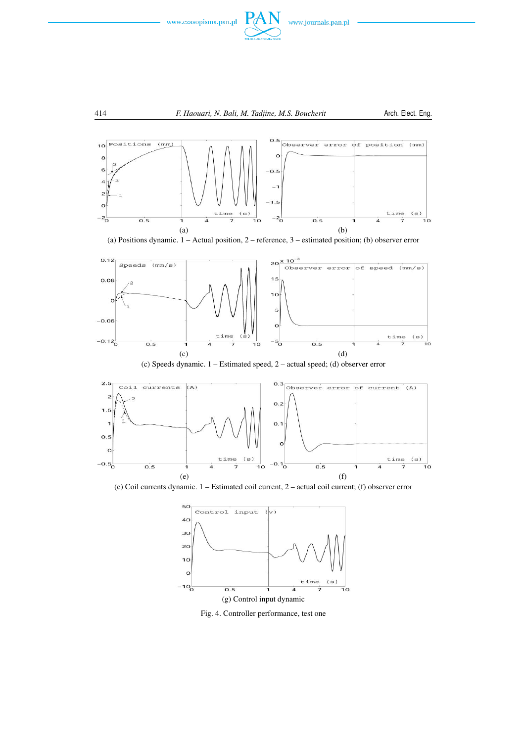



(a) Positions dynamic. 1 – Actual position, 2 – reference, 3 – estimated position; (b) observer error



(c) Speeds dynamic. 1 – Estimated speed, 2 – actual speed; (d) observer error



(e) Coil currents dynamic. 1 – Estimated coil current, 2 – actual coil current; (f) observer error



Fig. 4. Controller performance, test one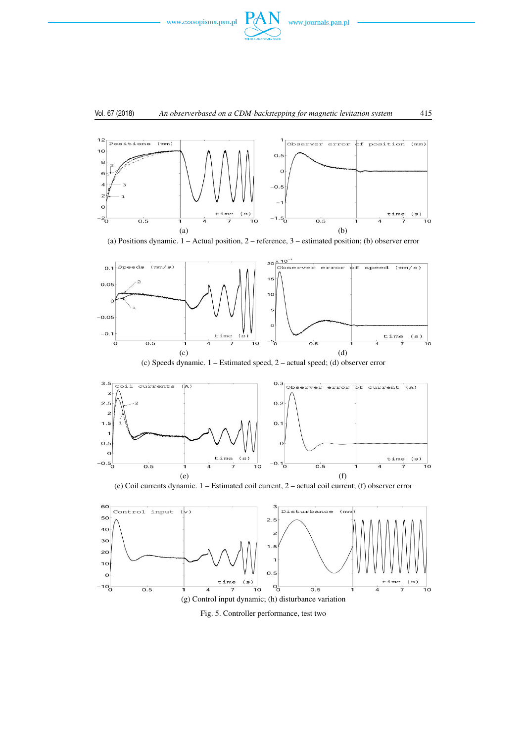

# Vol. 67 (2018) *An observerbased on a CDM-backstepping for magnetic levitation system* 415



(a) Positions dynamic. 1 – Actual position, 2 – reference, 3 – estimated position; (b) observer error



(c) Speeds dynamic. 1 – Estimated speed, 2 – actual speed; (d) observer error



(e) Coil currents dynamic. 1 – Estimated coil current, 2 – actual coil current; (f) observer error



Fig. 5. Controller performance, test two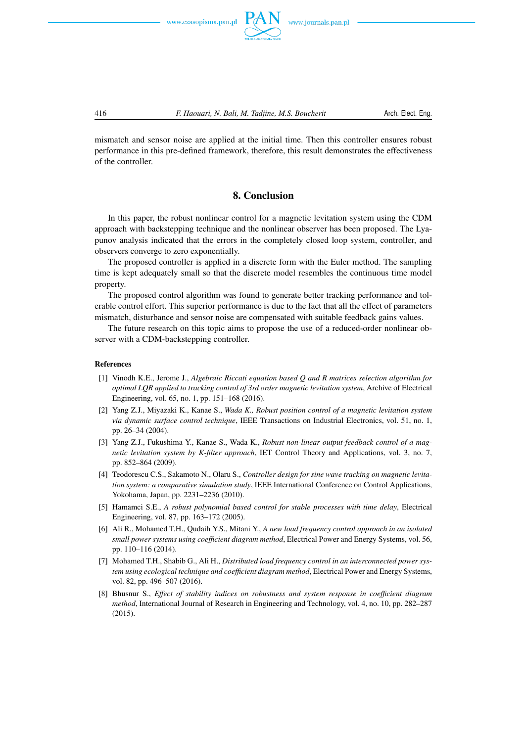



mismatch and sensor noise are applied at the initial time. Then this controller ensures robust performance in this pre-defined framework, therefore, this result demonstrates the effectiveness of the controller.

# 8. Conclusion

In this paper, the robust nonlinear control for a magnetic levitation system using the CDM approach with backstepping technique and the nonlinear observer has been proposed. The Lyapunov analysis indicated that the errors in the completely closed loop system, controller, and observers converge to zero exponentially.

The proposed controller is applied in a discrete form with the Euler method. The sampling time is kept adequately small so that the discrete model resembles the continuous time model property.

The proposed control algorithm was found to generate better tracking performance and tolerable control effort. This superior performance is due to the fact that all the effect of parameters mismatch, disturbance and sensor noise are compensated with suitable feedback gains values.

The future research on this topic aims to propose the use of a reduced-order nonlinear observer with a CDM-backstepping controller.

#### References

- [1] Vinodh K.E., Jerome J., *Algebraic Riccati equation based Q and R matrices selection algorithm for optimal LQR applied to tracking control of 3rd order magnetic levitation system*, Archive of Electrical Engineering, vol. 65, no. 1, pp. 151–168 (2016).
- [2] Yang Z.J., Miyazaki K., Kanae S., *Wada K., Robust position control of a magnetic levitation system via dynamic surface control technique*, IEEE Transactions on Industrial Electronics, vol. 51, no. 1, pp. 26–34 (2004).
- [3] Yang Z.J., Fukushima Y., Kanae S., Wada K., *Robust non-linear output-feedback control of a magnetic levitation system by K-filter approach*, IET Control Theory and Applications, vol. 3, no. 7, pp. 852–864 (2009).
- [4] Teodorescu C.S., Sakamoto N., Olaru S., *Controller design for sine wave tracking on magnetic levitation system: a comparative simulation study*, IEEE International Conference on Control Applications, Yokohama, Japan, pp. 2231–2236 (2010).
- [5] Hamamci S.E., *A robust polynomial based control for stable processes with time delay*, Electrical Engineering, vol. 87, pp. 163–172 (2005).
- [6] Ali R., Mohamed T.H., Qudaih Y.S., Mitani Y., *A new load frequency control approach in an isolated small power systems using coefficient diagram method*, Electrical Power and Energy Systems, vol. 56, pp. 110–116 (2014).
- [7] Mohamed T.H., Shabib G., Ali H., *Distributed load frequency control in an interconnected power system using ecological technique and coefficient diagram method*, Electrical Power and Energy Systems, vol. 82, pp. 496–507 (2016).
- [8] Bhusnur S., *Effect of stability indices on robustness and system response in coefficient diagram method*, International Journal of Research in Engineering and Technology, vol. 4, no. 10, pp. 282–287 (2015).